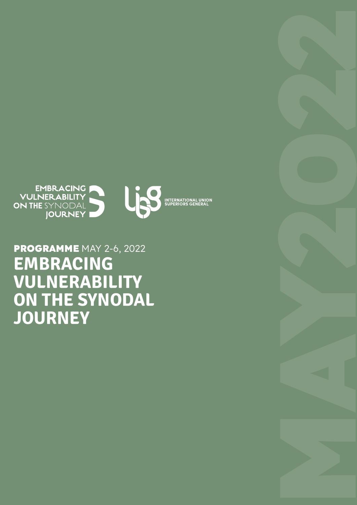# **PROGRAMME** MAY 2-6, 2022 EMBRACING VULNERABILITY ON THE SYNODAL JOURNEY

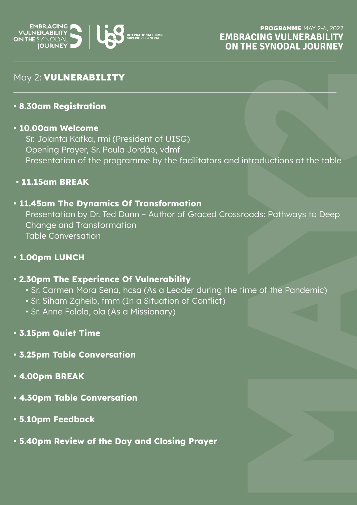

# May 2: **VULNERABILITY**

## **• 8.30am Registration**

#### **• 10.00am Welcome**

Sr. Jolanta Kafka, rmi (President of UISG) Opening Prayer, Sr. Paula Jordão, vdmf Presentation of the programme by the facilitators and introductions at the table

# **• 11.15am BREAK**

# **• 11.45am The Dynamics Of Transformation**

ntroductions at the table<br>pads: Pathways to Deep<br>me of the Pandemic)<br>**Matter** Presentation by Dr. Ted Dunn – Author of Graced Crossroads: Pathways to Deep Change and Transformation Table Conversation

## **• 1.00pm LUNCH**

## **• 2.30pm The Experience Of Vulnerability**

- Sr. Carmen Mora Sena, hcsa (As a Leader during the time of the Pandemic)
- Sr. Siham Zgheib, fmm (In a Situation of Conflict)
- Sr. Anne Falola, ola (As a Missionary)
- **3.15pm Quiet Time**
- **3.25pm Table Conversation**
- **4.00pm BREAK**
- **4.30pm Table Conversation**
- **5.10pm Feedback**
- **5.40pm Review of the Day and Closing Prayer**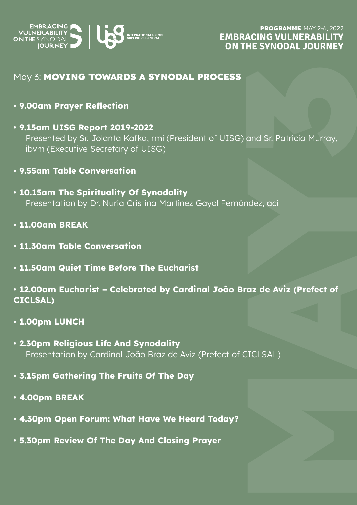

# May 3: **MOVING TOWARDS A SYNODAL PROCESS**

- **9.00am Prayer Reflection**
- and Sr. Patricia Murray,<br>adez, aci<br>**az de Aviz (Prefect of • 9.15am UISG Report 2019-2022** Presented by Sr. Jolanta Kafka, rmi (President of UISG) and Sr. Patricia Murray, ibvm (Executive Secretary of UISG)
- **9.55am Table Conversation**
- **10.15am The Spirituality Of Synodality** Presentation by Dr. Nuria Cristina Martínez Gayol Fernández, aci
- **11.00am BREAK**
- **11.30am Table Conversation**
- **11.50am Quiet Time Before The Eucharist**
- **12.00am Eucharist Celebrated by Cardinal João Braz de Aviz (Prefect of CICLSAL)**
- **1.00pm LUNCH**
- **2.30pm Religious Life And Synodality** Presentation by Cardinal João Braz de Aviz (Prefect of CICLSAL)
- **3.15pm Gathering The Fruits Of The Day**
- **4.00pm BREAK**
- **4.30pm Open Forum: What Have We Heard Today?**
- **5.30pm Review Of The Day And Closing Prayer**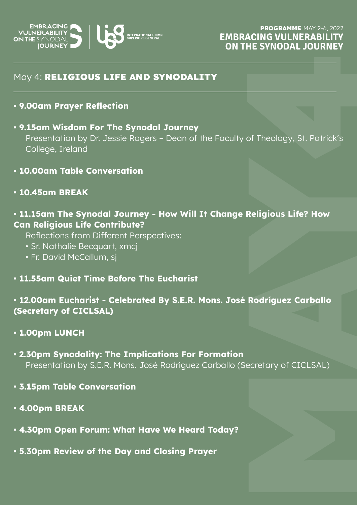

# May 4: **RELIGIOUS LIFE AND SYNODALITY**

- **9.00am Prayer Reflection**
- of Theology, St. Patrick's<br>**Religious Life? How<br><b>Rodríguez Carballo**<br>ecretary of CICLSAL) **• 9.15am Wisdom For The Synodal Journey** Presentation by Dr. Jessie Rogers – Dean of the Faculty of Theology, St. Patrick's College, Ireland
- **10.00am Table Conversation**
- **10.45am BREAK**

# **• 11.15am The Synodal Journey - How Will It Change Religious Life? How Can Religious Life Contribute?**

Reflections from Different Perspectives:

- Sr. Nathalie Becquart, xmcj
- Fr. David McCallum, sj
- **11.55am Quiet Time Before The Eucharist**

# **• 12.00am Eucharist - Celebrated By S.E.R. Mons. José Rodríguez Carballo (Secretary of CICLSAL)**

- **1.00pm LUNCH**
- **2.30pm Synodality: The Implications For Formation** Presentation by S.E.R. Mons. José Rodríguez Carballo (Secretary of CICLSAL)
- **3.15pm Table Conversation**
- **4.00pm BREAK**
- **4.30pm Open Forum: What Have We Heard Today?**
- **5.30pm Review of the Day and Closing Prayer**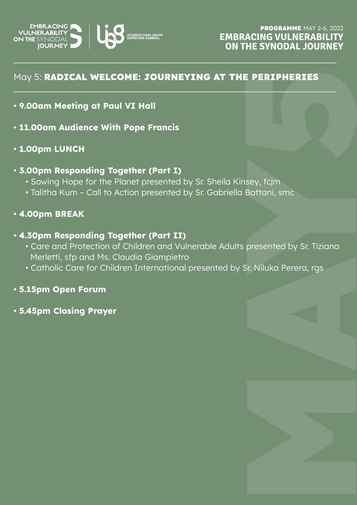

# May 5: **RADICAL WELCOME: JOURNEYING AT THE PERIPHERIES**

- **9.00am Meeting at Paul VI Hall**
- **11.00am Audience With Pope Francis**
- **1.00pm LUNCH**

#### **• 3.00pm Responding Together (Part I)**

- Sowing Hope for the Planet presented by Sr. Sheila Kinsey, fcjm
- Talitha Kum Call to Action presented by Sr. Gabriella Bottani, smc

#### **• 4.00pm BREAK**

#### **• 4.30pm Responding Together (Part II)**

- E PERIPHERIES<br>
sey, fcjm<br>Bottani, smc<br>
presented by Sr. Tiziana<br>
Sr. Niluka Perera, rgs<br>
Martin Context<br>
Martin Context<br>
Martin Context<br>
Martin Context<br>
Martin Context<br>
Martin Context<br>
Martin Context<br>
Martin Context<br>
Marti • Care and Protection of Children and Vulnerable Adults presented by Sr. Tiziana Merletti, sfp and Ms. Claudia Giampietro
- Catholic Care for Children International presented by Sr. Niluka Perera, rgs

# **• 5.15pm Open Forum**

**• 5.45pm Closing Prayer**